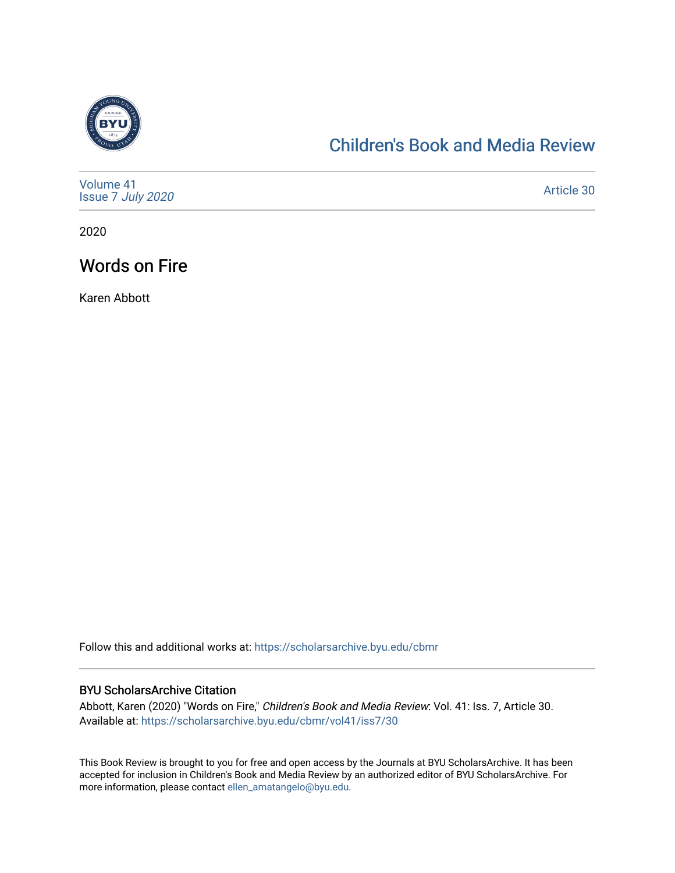

# [Children's Book and Media Review](https://scholarsarchive.byu.edu/cbmr)

| Volume 41<br>Issue 7 July 2020 | Article 30 |
|--------------------------------|------------|
|--------------------------------|------------|

2020

## Words on Fire

Karen Abbott

Follow this and additional works at: [https://scholarsarchive.byu.edu/cbmr](https://scholarsarchive.byu.edu/cbmr?utm_source=scholarsarchive.byu.edu%2Fcbmr%2Fvol41%2Fiss7%2F30&utm_medium=PDF&utm_campaign=PDFCoverPages) 

#### BYU ScholarsArchive Citation

Abbott, Karen (2020) "Words on Fire," Children's Book and Media Review: Vol. 41: Iss. 7, Article 30. Available at: [https://scholarsarchive.byu.edu/cbmr/vol41/iss7/30](https://scholarsarchive.byu.edu/cbmr/vol41/iss7/30?utm_source=scholarsarchive.byu.edu%2Fcbmr%2Fvol41%2Fiss7%2F30&utm_medium=PDF&utm_campaign=PDFCoverPages)

This Book Review is brought to you for free and open access by the Journals at BYU ScholarsArchive. It has been accepted for inclusion in Children's Book and Media Review by an authorized editor of BYU ScholarsArchive. For more information, please contact [ellen\\_amatangelo@byu.edu.](mailto:ellen_amatangelo@byu.edu)